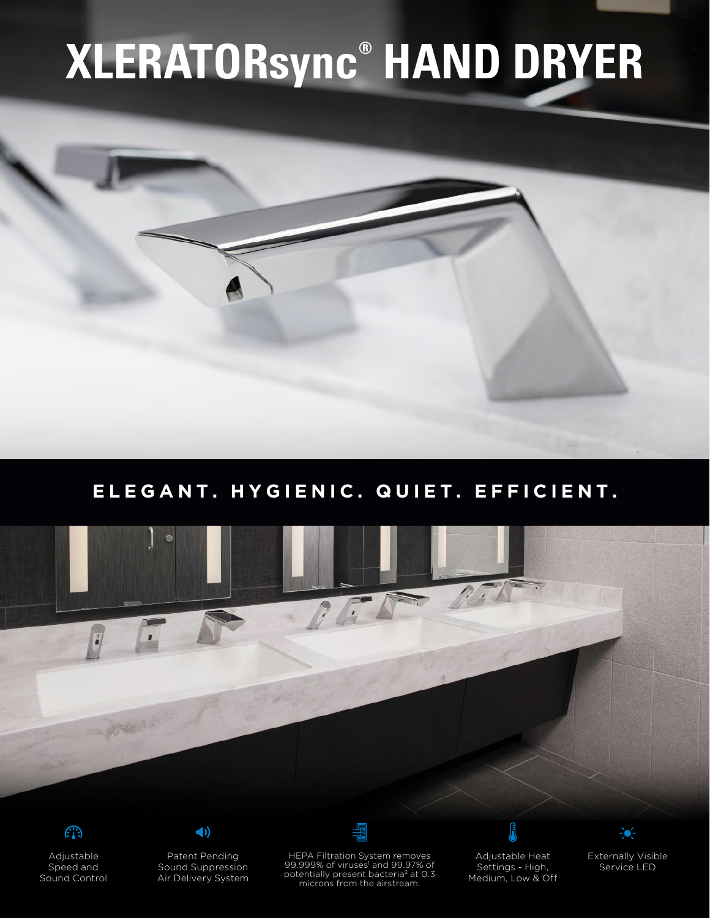## **XLERATORsync® HAND DRYER**

## **ELEGANT. HYGIENIC. QUIET. EFFICIENT.**





Adjustable Speed and Sound Control



 $\blacktriangleleft$ 

Sound Suppression Air Delivery System

HEPA Filtration System removes 99.999% of viruses<sup>1</sup> and 99.97% of potentially present bacteria<sup>2</sup> at 0.3 microns from the airstream.

Adjustable Heat Settings - High, Medium, Low & Off

l



Externally Visible Service LED